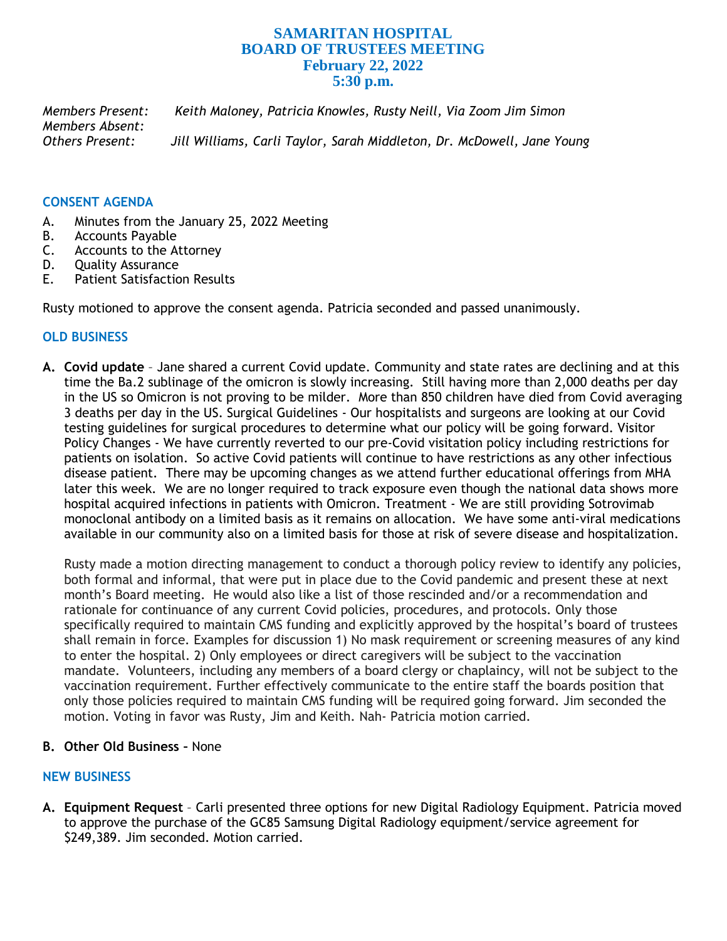# **SAMARITAN HOSPITAL BOARD OF TRUSTEES MEETING February 22, 2022 5:30 p.m.**

*Members Present: Keith Maloney, Patricia Knowles, Rusty Neill, Via Zoom Jim Simon Members Absent: Others Present: Jill Williams, Carli Taylor, Sarah Middleton, Dr. McDowell, Jane Young*

#### **CONSENT AGENDA**

- A. Minutes from the January 25, 2022 Meeting
- B. Accounts Payable
- C. Accounts to the Attorney
- D. Quality Assurance
- E. Patient Satisfaction Results

Rusty motioned to approve the consent agenda. Patricia seconded and passed unanimously.

## **OLD BUSINESS**

**A. Covid update** – Jane shared a current Covid update. Community and state rates are declining and at this time the Ba.2 sublinage of the omicron is slowly increasing. Still having more than 2,000 deaths per day in the US so Omicron is not proving to be milder. More than 850 children have died from Covid averaging 3 deaths per day in the US. Surgical Guidelines - Our hospitalists and surgeons are looking at our Covid testing guidelines for surgical procedures to determine what our policy will be going forward. Visitor Policy Changes - We have currently reverted to our pre-Covid visitation policy including restrictions for patients on isolation. So active Covid patients will continue to have restrictions as any other infectious disease patient. There may be upcoming changes as we attend further educational offerings from MHA later this week. We are no longer required to track exposure even though the national data shows more hospital acquired infections in patients with Omicron. Treatment - We are still providing Sotrovimab monoclonal antibody on a limited basis as it remains on allocation. We have some anti-viral medications available in our community also on a limited basis for those at risk of severe disease and hospitalization.

Rusty made a motion directing management to conduct a thorough policy review to identify any policies, both formal and informal, that were put in place due to the Covid pandemic and present these at next month's Board meeting. He would also like a list of those rescinded and/or a recommendation and rationale for continuance of any current Covid policies, procedures, and protocols. Only those specifically required to maintain CMS funding and explicitly approved by the hospital's board of trustees shall remain in force. Examples for discussion 1) No mask requirement or screening measures of any kind to enter the hospital. 2) Only employees or direct caregivers will be subject to the vaccination mandate. Volunteers, including any members of a board clergy or chaplaincy, will not be subject to the vaccination requirement. Further effectively communicate to the entire staff the boards position that only those policies required to maintain CMS funding will be required going forward. Jim seconded the motion. Voting in favor was Rusty, Jim and Keith. Nah- Patricia motion carried.

## **B. Other Old Business –** None

#### **NEW BUSINESS**

**A. Equipment Request** – Carli presented three options for new Digital Radiology Equipment. Patricia moved to approve the purchase of the GC85 Samsung Digital Radiology equipment/service agreement for \$249,389. Jim seconded. Motion carried.